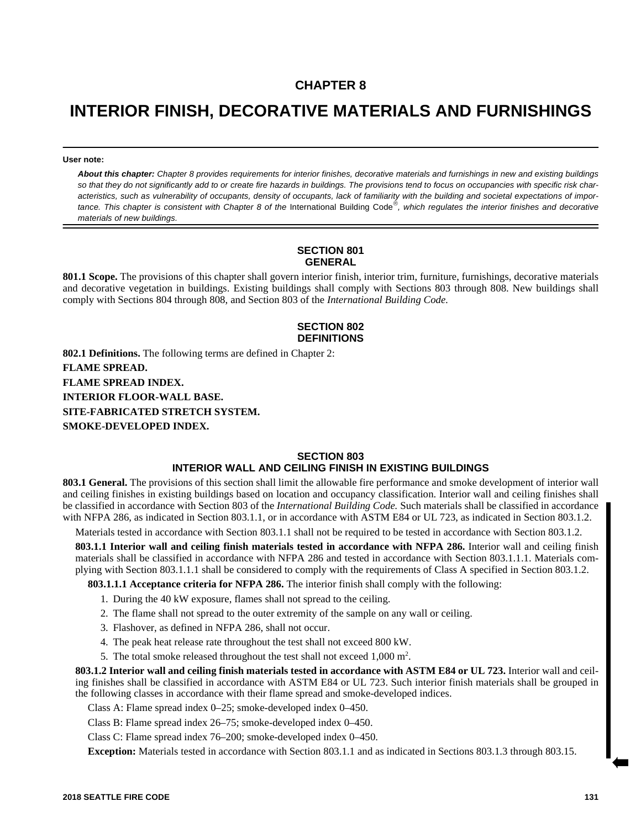# **CHAPTER 8**

# **INTERIOR FINISH, DECORATIVE MATERIALS AND FURNISHINGS**

**User note:**

*About this chapter: Chapter 8 provides requirements for interior finishes, decorative materials and furnishings in new and existing buildings so that they do not significantly add to or create fire hazards in buildings. The provisions tend to focus on occupancies with specific risk characteristics, such as vulnerability of occupants, density of occupants, lack of familiarity with the building and societal expectations of impor*tance. This chapter is consistent with Chapter 8 of the International Building Code®, which regulates the interior finishes and decorative *materials of new buildings.*

#### **SECTION 801 GENERAL**

**801.1 Scope.** The provisions of this chapter shall govern interior finish, interior trim, furniture, furnishings, decorative materials and decorative vegetation in buildings. Existing buildings shall comply with Sections 803 through 808. New buildings shall comply with Sections 804 through 808, and Section 803 of the *International Building Code.*

#### **SECTION 802 DEFINITIONS**

**802.1 Definitions.** The following terms are defined in Chapter 2: **FLAME SPREAD. FLAME SPREAD INDEX. INTERIOR FLOOR-WALL BASE. SITE-FABRICATED STRETCH SYSTEM. SMOKE-DEVELOPED INDEX.**

#### **SECTION 803 INTERIOR WALL AND CEILING FINISH IN EXISTING BUILDINGS**

**803.1 General.** The provisions of this section shall limit the allowable fire performance and smoke development of interior wall and ceiling finishes in existing buildings based on location and occupancy classification. Interior wall and ceiling finishes shall be classified in accordance with Section 803 of the *International Building Code.* Such materials shall be classified in accordance with NFPA 286, as indicated in Section 803.1.1, or in accordance with ASTM E84 or UL 723, as indicated in Section 803.1.2.

Materials tested in accordance with Section 803.1.1 shall not be required to be tested in accordance with Section 803.1.2.

**803.1.1 Interior wall and ceiling finish materials tested in accordance with NFPA 286.** Interior wall and ceiling finish materials shall be classified in accordance with NFPA 286 and tested in accordance with Section 803.1.1.1. Materials complying with Section 803.1.1.1 shall be considered to comply with the requirements of Class A specified in Section 803.1.2.

**803.1.1.1 Acceptance criteria for NFPA 286.** The interior finish shall comply with the following:

- 1. During the 40 kW exposure, flames shall not spread to the ceiling.
- 2. The flame shall not spread to the outer extremity of the sample on any wall or ceiling.
- 3. Flashover, as defined in NFPA 286, shall not occur.
- 4. The peak heat release rate throughout the test shall not exceed 800 kW.
- 5. The total smoke released throughout the test shall not exceed  $1,000 \text{ m}^2$ .

**803.1.2 Interior wall and ceiling finish materials tested in accordance with ASTM E84 or UL 723.** Interior wall and ceiling finishes shall be classified in accordance with ASTM E84 or UL 723. Such interior finish materials shall be grouped in the following classes in accordance with their flame spread and smoke-developed indices.

Class A: Flame spread index 0–25; smoke-developed index 0–450.

Class B: Flame spread index 26–75; smoke-developed index 0–450.

Class C: Flame spread index 76–200; smoke-developed index 0–450.

**Exception:** Materials tested in accordance with Section 803.1.1 and as indicated in Sections 803.1.3 through 803.15.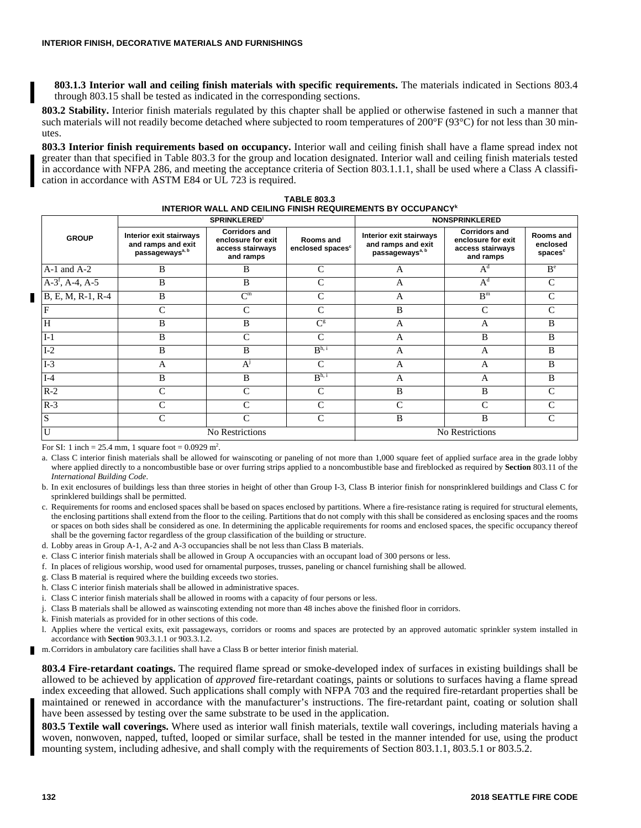**803.1.3 Interior wall and ceiling finish materials with specific requirements.** The materials indicated in Sections 803.4 through 803.15 shall be tested as indicated in the corresponding sections.

**803.2 Stability.** Interior finish materials regulated by this chapter shall be applied or otherwise fastened in such a manner that such materials will not readily become detached where subjected to room temperatures of 200°F (93°C) for not less than 30 minutes.

**803.3 Interior finish requirements based on occupancy.** Interior wall and ceiling finish shall have a flame spread index not greater than that specified in Table 803.3 for the group and location designated. Interior wall and ceiling finish materials tested in accordance with NFPA 286, and meeting the acceptance criteria of Section 803.1.1.1, shall be used where a Class A classification in accordance with ASTM E84 or UL 723 is required.

|                    | <b>SPRINKLERED'</b>                                                          |                                                                             |                                           | <b>NONSPRINKLERED</b>                                                        |                                                                             |                                              |
|--------------------|------------------------------------------------------------------------------|-----------------------------------------------------------------------------|-------------------------------------------|------------------------------------------------------------------------------|-----------------------------------------------------------------------------|----------------------------------------------|
| <b>GROUP</b>       | Interior exit stairways<br>and ramps and exit<br>passageways <sup>a, b</sup> | <b>Corridors and</b><br>enclosure for exit<br>access stairways<br>and ramps | Rooms and<br>enclosed spaces <sup>c</sup> | Interior exit stairways<br>and ramps and exit<br>passageways <sup>a, b</sup> | <b>Corridors and</b><br>enclosure for exit<br>access stairways<br>and ramps | Rooms and<br>enclosed<br>spaces <sup>c</sup> |
| $A-1$ and $A-2$    | B                                                                            | B                                                                           | Ċ                                         | A                                                                            | $A^d$                                                                       | B <sup>e</sup>                               |
| $A-3^f$ , A-4, A-5 | B                                                                            | B                                                                           | C                                         | A                                                                            | $A^d$                                                                       | C                                            |
| B, E, M, R-1, R-4  | B                                                                            | $C^{\rm m}$                                                                 | C                                         | $\mathbf{A}$                                                                 | B <sup>m</sup>                                                              | C                                            |
| F                  | C                                                                            | C                                                                           | C                                         | B                                                                            | C                                                                           | C                                            |
| H                  | B                                                                            | B                                                                           | $C^{\rm g}$                               | A                                                                            | A                                                                           | B                                            |
| $I-1$              | B                                                                            | $\mathcal{C}$                                                               | C                                         | A                                                                            | B                                                                           | B                                            |
| $I-2$              | B                                                                            | B                                                                           | B <sup>h, i</sup>                         | $\mathbf{A}$                                                                 | $\mathbf{A}$                                                                | B                                            |
| $I-3$              | $\mathsf{A}$                                                                 | $A^{j}$                                                                     | $\mathsf{C}$                              | A                                                                            | A                                                                           | B                                            |
| $I-4$              | B                                                                            | B                                                                           | B <sup>h, i</sup>                         | A                                                                            | A                                                                           | B                                            |
| $R-2$              | C                                                                            | $\mathcal{C}$                                                               | C                                         | B                                                                            | B                                                                           | C                                            |
| $R-3$              | C                                                                            | C                                                                           | Ċ                                         | C                                                                            | C                                                                           | C                                            |
| ${\bf S}$          | C                                                                            | $\mathcal{C}$                                                               | $\mathcal{C}$                             | B                                                                            | B                                                                           | C                                            |
| U                  | No Restrictions                                                              |                                                                             |                                           | No Restrictions                                                              |                                                                             |                                              |

**TABLE 803.3 INTERIOR WALL AND CEILING FINISH REQUIREMENTS BY OCCUPANCY<sup>k</sup>**

For SI: 1 inch = 25.4 mm, 1 square foot =  $0.0929$  m<sup>2</sup>.

a. Class C interior finish materials shall be allowed for wainscoting or paneling of not more than 1,000 square feet of applied surface area in the grade lobby where applied directly to a noncombustible base or over furring strips applied to a noncombustible base and fireblocked as required by **Section** 803.11 of the *International Building Code.*

b. In exit enclosures of buildings less than three stories in height of other than Group I-3, Class B interior finish for nonsprinklered buildings and Class C for sprinklered buildings shall be permitted.

c. Requirements for rooms and enclosed spaces shall be based on spaces enclosed by partitions. Where a fire-resistance rating is required for structural elements, the enclosing partitions shall extend from the floor to the ceiling. Partitions that do not comply with this shall be considered as enclosing spaces and the rooms or spaces on both sides shall be considered as one. In determining the applicable requirements for rooms and enclosed spaces, the specific occupancy thereof shall be the governing factor regardless of the group classification of the building or structure.

d. Lobby areas in Group A-1, A-2 and A-3 occupancies shall be not less than Class B materials.

e. Class C interior finish materials shall be allowed in Group A occupancies with an occupant load of 300 persons or less.

f. In places of religious worship, wood used for ornamental purposes, trusses, paneling or chancel furnishing shall be allowed.

g. Class B material is required where the building exceeds two stories.

h. Class C interior finish materials shall be allowed in administrative spaces.

i. Class C interior finish materials shall be allowed in rooms with a capacity of four persons or less.

j. Class B materials shall be allowed as wainscoting extending not more than 48 inches above the finished floor in corridors.

k. Finish materials as provided for in other sections of this code.

l. Applies where the vertical exits, exit passageways, corridors or rooms and spaces are protected by an approved automatic sprinkler system installed in accordance with **Section** 903.3.1.1 or 903.3.1.2.

m.Corridors in ambulatory care facilities shall have a Class B or better interior finish material.

**803.4 Fire-retardant coatings.** The required flame spread or smoke-developed index of surfaces in existing buildings shall be allowed to be achieved by application of *approved* fire-retardant coatings, paints or solutions to surfaces having a flame spread index exceeding that allowed. Such applications shall comply with NFPA 703 and the required fire-retardant properties shall be maintained or renewed in accordance with the manufacturer's instructions. The fire-retardant paint, coating or solution shall have been assessed by testing over the same substrate to be used in the application.

**803.5 Textile wall coverings.** Where used as interior wall finish materials, textile wall coverings, including materials having a woven, nonwoven, napped, tufted, looped or similar surface, shall be tested in the manner intended for use, using the product mounting system, including adhesive, and shall comply with the requirements of Section 803.1.1, 803.5.1 or 803.5.2.

Г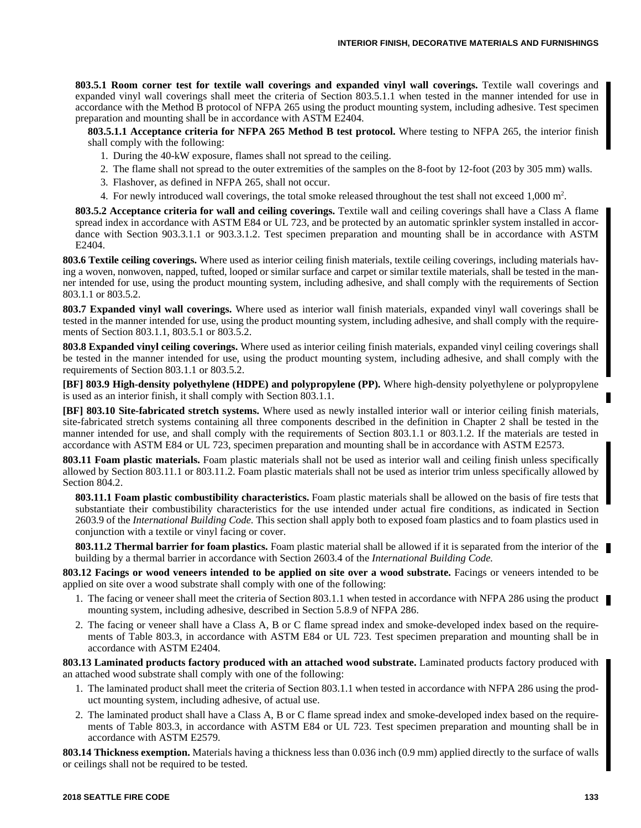**803.5.1 Room corner test for textile wall coverings and expanded vinyl wall coverings.** Textile wall coverings and expanded vinyl wall coverings shall meet the criteria of Section 803.5.1.1 when tested in the manner intended for use in accordance with the Method B protocol of NFPA 265 using the product mounting system, including adhesive. Test specimen preparation and mounting shall be in accordance with ASTM E2404.

**803.5.1.1 Acceptance criteria for NFPA 265 Method B test protocol.** Where testing to NFPA 265, the interior finish shall comply with the following:

- 1. During the 40-kW exposure, flames shall not spread to the ceiling.
- 2. The flame shall not spread to the outer extremities of the samples on the 8-foot by 12-foot (203 by 305 mm) walls.
- 3. Flashover, as defined in NFPA 265, shall not occur.
- 4. For newly introduced wall coverings, the total smoke released throughout the test shall not exceed  $1,000 \text{ m}^2$ .

**803.5.2 Acceptance criteria for wall and ceiling coverings.** Textile wall and ceiling coverings shall have a Class A flame spread index in accordance with ASTM E84 or UL 723, and be protected by an automatic sprinkler system installed in accordance with Section 903.3.1.1 or 903.3.1.2. Test specimen preparation and mounting shall be in accordance with ASTM E2404.

**803.6 Textile ceiling coverings.** Where used as interior ceiling finish materials, textile ceiling coverings, including materials having a woven, nonwoven, napped, tufted, looped or similar surface and carpet or similar textile materials, shall be tested in the manner intended for use, using the product mounting system, including adhesive, and shall comply with the requirements of Section 803.1.1 or 803.5.2.

**803.7 Expanded vinyl wall coverings.** Where used as interior wall finish materials, expanded vinyl wall coverings shall be tested in the manner intended for use, using the product mounting system, including adhesive, and shall comply with the requirements of Section 803.1.1, 803.5.1 or 803.5.2.

**803.8 Expanded vinyl ceiling coverings.** Where used as interior ceiling finish materials, expanded vinyl ceiling coverings shall be tested in the manner intended for use, using the product mounting system, including adhesive, and shall comply with the requirements of Section 803.1.1 or 803.5.2.

**[BF] 803.9 High-density polyethylene (HDPE) and polypropylene (PP).** Where high-density polyethylene or polypropylene is used as an interior finish, it shall comply with Section 803.1.1.

**[BF] 803.10 Site-fabricated stretch systems.** Where used as newly installed interior wall or interior ceiling finish materials, site-fabricated stretch systems containing all three components described in the definition in Chapter 2 shall be tested in the manner intended for use, and shall comply with the requirements of Section 803.1.1 or 803.1.2. If the materials are tested in accordance with ASTM E84 or UL 723, specimen preparation and mounting shall be in accordance with ASTM E2573.

**803.11 Foam plastic materials.** Foam plastic materials shall not be used as interior wall and ceiling finish unless specifically allowed by Section 803.11.1 or 803.11.2. Foam plastic materials shall not be used as interior trim unless specifically allowed by Section 804.2.

**803.11.1 Foam plastic combustibility characteristics.** Foam plastic materials shall be allowed on the basis of fire tests that substantiate their combustibility characteristics for the use intended under actual fire conditions, as indicated in Section 2603.9 of the *International Building Code.* This section shall apply both to exposed foam plastics and to foam plastics used in conjunction with a textile or vinyl facing or cover.

**803.11.2 Thermal barrier for foam plastics.** Foam plastic material shall be allowed if it is separated from the interior of the building by a thermal barrier in accordance with Section 2603.4 of the *International Building Code.*

**803.12 Facings or wood veneers intended to be applied on site over a wood substrate.** Facings or veneers intended to be applied on site over a wood substrate shall comply with one of the following:

- 1. The facing or veneer shall meet the criteria of Section 803.1.1 when tested in accordance with NFPA 286 using the product mounting system, including adhesive, described in Section 5.8.9 of NFPA 286.
- 2. The facing or veneer shall have a Class A, B or C flame spread index and smoke-developed index based on the requirements of Table 803.3, in accordance with ASTM E84 or UL 723. Test specimen preparation and mounting shall be in accordance with ASTM E2404.

**803.13 Laminated products factory produced with an attached wood substrate.** Laminated products factory produced with an attached wood substrate shall comply with one of the following:

- 1. The laminated product shall meet the criteria of Section 803.1.1 when tested in accordance with NFPA 286 using the product mounting system, including adhesive, of actual use.
- 2. The laminated product shall have a Class A, B or C flame spread index and smoke-developed index based on the requirements of Table 803.3, in accordance with ASTM E84 or UL 723. Test specimen preparation and mounting shall be in accordance with ASTM E2579.

**803.14 Thickness exemption.** Materials having a thickness less than 0.036 inch (0.9 mm) applied directly to the surface of walls or ceilings shall not be required to be tested.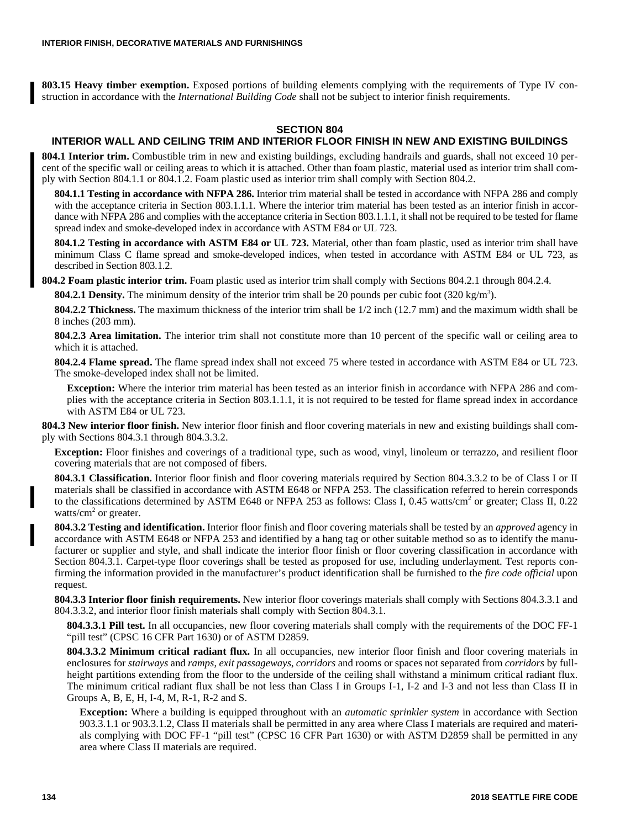**803.15 Heavy timber exemption.** Exposed portions of building elements complying with the requirements of Type IV construction in accordance with the *International Building Code* shall not be subject to interior finish requirements.

#### **SECTION 804**

## **INTERIOR WALL AND CEILING TRIM AND INTERIOR FLOOR FINISH IN NEW AND EXISTING BUILDINGS**

**804.1 Interior trim.** Combustible trim in new and existing buildings, excluding handrails and guards, shall not exceed 10 percent of the specific wall or ceiling areas to which it is attached. Other than foam plastic, material used as interior trim shall comply with Section 804.1.1 or 804.1.2. Foam plastic used as interior trim shall comply with Section 804.2.

**804.1.1 Testing in accordance with NFPA 286.** Interior trim material shall be tested in accordance with NFPA 286 and comply with the acceptance criteria in Section 803.1.1.1. Where the interior trim material has been tested as an interior finish in accordance with NFPA 286 and complies with the acceptance criteria in Section 803.1.1.1, it shall not be required to be tested for flame spread index and smoke-developed index in accordance with ASTM E84 or UL 723.

**804.1.2 Testing in accordance with ASTM E84 or UL 723.** Material, other than foam plastic, used as interior trim shall have minimum Class C flame spread and smoke-developed indices, when tested in accordance with ASTM E84 or UL 723, as described in Section 803.1.2.

**804.2 Foam plastic interior trim.** Foam plastic used as interior trim shall comply with Sections 804.2.1 through 804.2.4.

**804.2.1 Density.** The minimum density of the interior trim shall be 20 pounds per cubic foot  $(320 \text{ kg/m}^3)$ .

**804.2.2 Thickness.** The maximum thickness of the interior trim shall be 1/2 inch (12.7 mm) and the maximum width shall be 8 inches (203 mm).

**804.2.3 Area limitation.** The interior trim shall not constitute more than 10 percent of the specific wall or ceiling area to which it is attached.

**804.2.4 Flame spread.** The flame spread index shall not exceed 75 where tested in accordance with ASTM E84 or UL 723. The smoke-developed index shall not be limited.

**Exception:** Where the interior trim material has been tested as an interior finish in accordance with NFPA 286 and complies with the acceptance criteria in Section 803.1.1.1, it is not required to be tested for flame spread index in accordance with ASTM E84 or UL 723.

**804.3 New interior floor finish.** New interior floor finish and floor covering materials in new and existing buildings shall comply with Sections 804.3.1 through 804.3.3.2.

**Exception:** Floor finishes and coverings of a traditional type, such as wood, vinyl, linoleum or terrazzo, and resilient floor covering materials that are not composed of fibers.

**804.3.1 Classification.** Interior floor finish and floor covering materials required by Section 804.3.3.2 to be of Class I or II materials shall be classified in accordance with ASTM E648 or NFPA 253. The classification referred to herein corresponds to the classifications determined by ASTM E648 or NFPA 253 as follows: Class I, 0.45 watts/cm<sup>2</sup> or greater; Class II, 0.22 watts/cm<sup>2</sup> or greater.

**804.3.2 Testing and identification.** Interior floor finish and floor covering materials shall be tested by an *approved* agency in accordance with ASTM E648 or NFPA 253 and identified by a hang tag or other suitable method so as to identify the manufacturer or supplier and style, and shall indicate the interior floor finish or floor covering classification in accordance with Section 804.3.1. Carpet-type floor coverings shall be tested as proposed for use, including underlayment. Test reports confirming the information provided in the manufacturer's product identification shall be furnished to the *fire code official* upon request.

**804.3.3 Interior floor finish requirements.** New interior floor coverings materials shall comply with Sections 804.3.3.1 and 804.3.3.2, and interior floor finish materials shall comply with Section 804.3.1.

**804.3.3.1 Pill test.** In all occupancies, new floor covering materials shall comply with the requirements of the DOC FF-1 "pill test" (CPSC 16 CFR Part 1630) or of ASTM D2859.

**804.3.3.2 Minimum critical radiant flux.** In all occupancies, new interior floor finish and floor covering materials in enclosures for *stairways* and *ramps*, *exit passageways*, *corridors* and rooms or spaces not separated from *corridors* by fullheight partitions extending from the floor to the underside of the ceiling shall withstand a minimum critical radiant flux. The minimum critical radiant flux shall be not less than Class I in Groups I-1, I-2 and I-3 and not less than Class II in Groups A, B, E, H, I-4, M, R-1, R-2 and S.

**Exception:** Where a building is equipped throughout with an *automatic sprinkler system* in accordance with Section 903.3.1.1 or 903.3.1.2, Class II materials shall be permitted in any area where Class I materials are required and materials complying with DOC FF-1 "pill test" (CPSC 16 CFR Part 1630) or with ASTM D2859 shall be permitted in any area where Class II materials are required.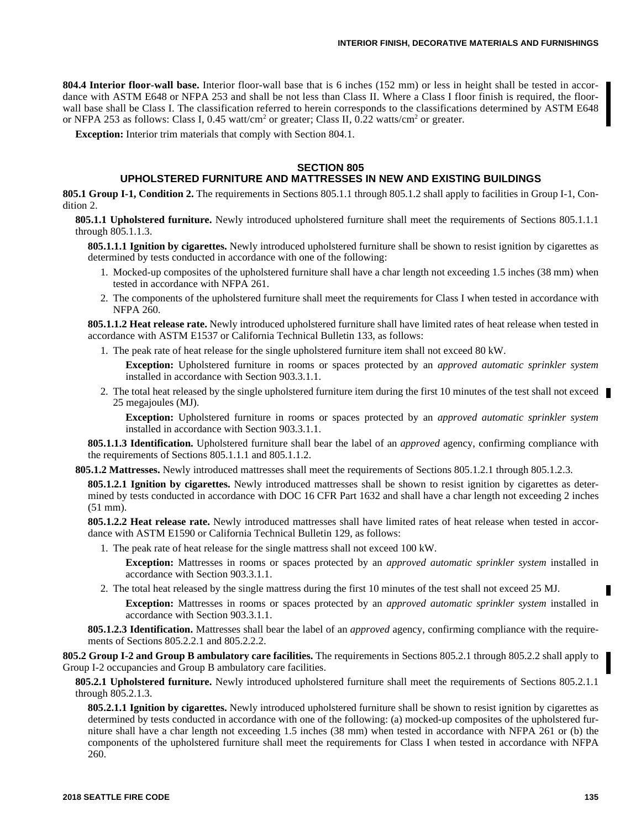**804.4 Interior floor-wall base.** Interior floor-wall base that is 6 inches (152 mm) or less in height shall be tested in accordance with ASTM E648 or NFPA 253 and shall be not less than Class II. Where a Class I floor finish is required, the floorwall base shall be Class I. The classification referred to herein corresponds to the classifications determined by ASTM E648 or NFPA 253 as follows: Class I,  $0.45$  watt/cm<sup>2</sup> or greater; Class II,  $0.22$  watts/cm<sup>2</sup> or greater.

**Exception:** Interior trim materials that comply with Section 804.1.

#### **SECTION 805**

#### **UPHOLSTERED FURNITURE AND MATTRESSES IN NEW AND EXISTING BUILDINGS**

**805.1 Group I-1, Condition 2.** The requirements in Sections 805.1.1 through 805.1.2 shall apply to facilities in Group I-1, Condition 2.

**805.1.1 Upholstered furniture.** Newly introduced upholstered furniture shall meet the requirements of Sections 805.1.1.1 through 805.1.1.3.

**805.1.1.1 Ignition by cigarettes.** Newly introduced upholstered furniture shall be shown to resist ignition by cigarettes as determined by tests conducted in accordance with one of the following:

- 1. Mocked-up composites of the upholstered furniture shall have a char length not exceeding 1.5 inches (38 mm) when tested in accordance with NFPA 261.
- 2. The components of the upholstered furniture shall meet the requirements for Class I when tested in accordance with NFPA 260.

**805.1.1.2 Heat release rate.** Newly introduced upholstered furniture shall have limited rates of heat release when tested in accordance with ASTM E1537 or California Technical Bulletin 133, as follows:

1. The peak rate of heat release for the single upholstered furniture item shall not exceed 80 kW.

**Exception:** Upholstered furniture in rooms or spaces protected by an *approved automatic sprinkler system* installed in accordance with Section 903.3.1.1.

2. The total heat released by the single upholstered furniture item during the first 10 minutes of the test shall not exceed 25 megajoules (MJ).

**Exception:** Upholstered furniture in rooms or spaces protected by an *approved automatic sprinkler system* installed in accordance with Section 903.3.1.1.

**805.1.1.3 Identification.** Upholstered furniture shall bear the label of an *approved* agency, confirming compliance with the requirements of Sections 805.1.1.1 and 805.1.1.2.

**805.1.2 Mattresses.** Newly introduced mattresses shall meet the requirements of Sections 805.1.2.1 through 805.1.2.3.

**805.1.2.1 Ignition by cigarettes.** Newly introduced mattresses shall be shown to resist ignition by cigarettes as determined by tests conducted in accordance with DOC 16 CFR Part 1632 and shall have a char length not exceeding 2 inches (51 mm).

**805.1.2.2 Heat release rate.** Newly introduced mattresses shall have limited rates of heat release when tested in accordance with ASTM E1590 or California Technical Bulletin 129, as follows:

1. The peak rate of heat release for the single mattress shall not exceed 100 kW.

**Exception:** Mattresses in rooms or spaces protected by an *approved automatic sprinkler system* installed in accordance with Section 903.3.1.1.

2. The total heat released by the single mattress during the first 10 minutes of the test shall not exceed 25 MJ.

**Exception:** Mattresses in rooms or spaces protected by an *approved automatic sprinkler system* installed in accordance with Section 903.3.1.1.

**805.1.2.3 Identification.** Mattresses shall bear the label of an *approved* agency, confirming compliance with the requirements of Sections 805.2.2.1 and 805.2.2.2.

**805.2 Group I-2 and Group B ambulatory care facilities.** The requirements in Sections 805.2.1 through 805.2.2 shall apply to Group I-2 occupancies and Group B ambulatory care facilities.

**805.2.1 Upholstered furniture.** Newly introduced upholstered furniture shall meet the requirements of Sections 805.2.1.1 through 805.2.1.3.

**805.2.1.1 Ignition by cigarettes.** Newly introduced upholstered furniture shall be shown to resist ignition by cigarettes as determined by tests conducted in accordance with one of the following: (a) mocked-up composites of the upholstered furniture shall have a char length not exceeding 1.5 inches (38 mm) when tested in accordance with NFPA 261 or (b) the components of the upholstered furniture shall meet the requirements for Class I when tested in accordance with NFPA 260.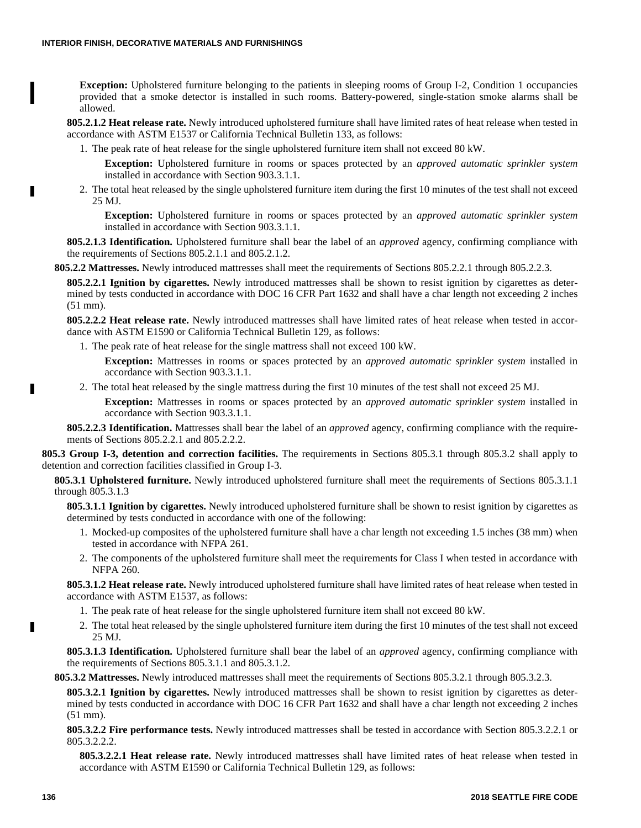**Exception:** Upholstered furniture belonging to the patients in sleeping rooms of Group I-2, Condition 1 occupancies provided that a smoke detector is installed in such rooms. Battery-powered, single-station smoke alarms shall be allowed.

**805.2.1.2 Heat release rate.** Newly introduced upholstered furniture shall have limited rates of heat release when tested in accordance with ASTM E1537 or California Technical Bulletin 133, as follows:

1. The peak rate of heat release for the single upholstered furniture item shall not exceed 80 kW.

**Exception:** Upholstered furniture in rooms or spaces protected by an *approved automatic sprinkler system* installed in accordance with Section 903.3.1.1.

2. The total heat released by the single upholstered furniture item during the first 10 minutes of the test shall not exceed 25 MJ.

**Exception:** Upholstered furniture in rooms or spaces protected by an *approved automatic sprinkler system* installed in accordance with Section 903.3.1.1.

**805.2.1.3 Identification.** Upholstered furniture shall bear the label of an *approved* agency, confirming compliance with the requirements of Sections 805.2.1.1 and 805.2.1.2.

**805.2.2 Mattresses.** Newly introduced mattresses shall meet the requirements of Sections 805.2.2.1 through 805.2.2.3.

**805.2.2.1 Ignition by cigarettes.** Newly introduced mattresses shall be shown to resist ignition by cigarettes as determined by tests conducted in accordance with DOC 16 CFR Part 1632 and shall have a char length not exceeding 2 inches (51 mm).

**805.2.2.2 Heat release rate.** Newly introduced mattresses shall have limited rates of heat release when tested in accordance with ASTM E1590 or California Technical Bulletin 129, as follows:

1. The peak rate of heat release for the single mattress shall not exceed 100 kW.

**Exception:** Mattresses in rooms or spaces protected by an *approved automatic sprinkler system* installed in accordance with Section 903.3.1.1.

2. The total heat released by the single mattress during the first 10 minutes of the test shall not exceed 25 MJ.

**Exception:** Mattresses in rooms or spaces protected by an *approved automatic sprinkler system* installed in accordance with Section 903.3.1.1.

**805.2.2.3 Identification.** Mattresses shall bear the label of an *approved* agency, confirming compliance with the requirements of Sections 805.2.2.1 and 805.2.2.2.

**805.3 Group I-3, detention and correction facilities.** The requirements in Sections 805.3.1 through 805.3.2 shall apply to detention and correction facilities classified in Group I-3.

**805.3.1 Upholstered furniture.** Newly introduced upholstered furniture shall meet the requirements of Sections 805.3.1.1 through 805.3.1.3

**805.3.1.1 Ignition by cigarettes.** Newly introduced upholstered furniture shall be shown to resist ignition by cigarettes as determined by tests conducted in accordance with one of the following:

- 1. Mocked-up composites of the upholstered furniture shall have a char length not exceeding 1.5 inches (38 mm) when tested in accordance with NFPA 261.
- 2. The components of the upholstered furniture shall meet the requirements for Class I when tested in accordance with NFPA 260.

**805.3.1.2 Heat release rate.** Newly introduced upholstered furniture shall have limited rates of heat release when tested in accordance with ASTM E1537, as follows:

- 1. The peak rate of heat release for the single upholstered furniture item shall not exceed 80 kW.
- 2. The total heat released by the single upholstered furniture item during the first 10 minutes of the test shall not exceed 25 MJ.

**805.3.1.3 Identification.** Upholstered furniture shall bear the label of an *approved* agency, confirming compliance with the requirements of Sections 805.3.1.1 and 805.3.1.2.

**805.3.2 Mattresses.** Newly introduced mattresses shall meet the requirements of Sections 805.3.2.1 through 805.3.2.3.

**805.3.2.1 Ignition by cigarettes.** Newly introduced mattresses shall be shown to resist ignition by cigarettes as determined by tests conducted in accordance with DOC 16 CFR Part 1632 and shall have a char length not exceeding 2 inches (51 mm).

**805.3.2.2 Fire performance tests.** Newly introduced mattresses shall be tested in accordance with Section 805.3.2.2.1 or 805.3.2.2.2.

**805.3.2.2.1 Heat release rate.** Newly introduced mattresses shall have limited rates of heat release when tested in accordance with ASTM E1590 or California Technical Bulletin 129, as follows: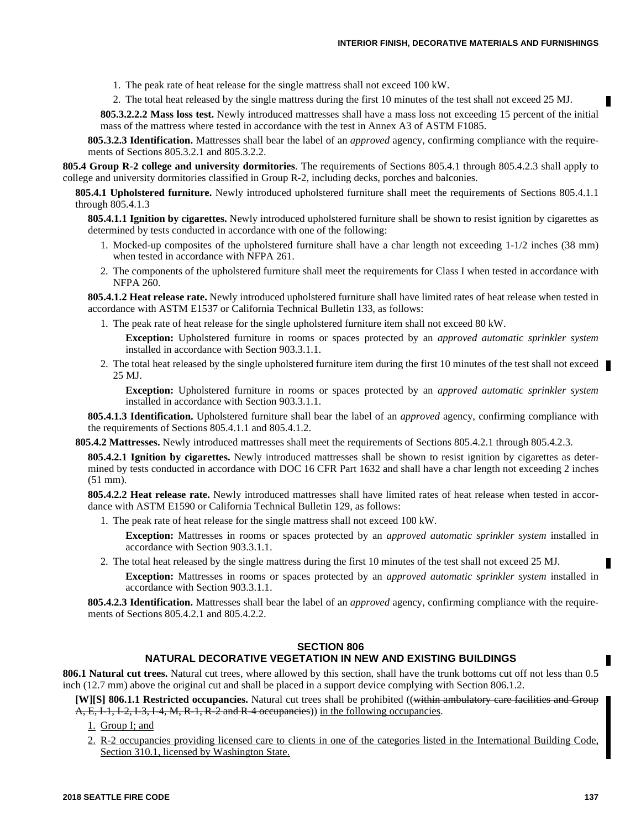- 1. The peak rate of heat release for the single mattress shall not exceed 100 kW.
- 2. The total heat released by the single mattress during the first 10 minutes of the test shall not exceed 25 MJ.

**805.3.2.2.2 Mass loss test.** Newly introduced mattresses shall have a mass loss not exceeding 15 percent of the initial mass of the mattress where tested in accordance with the test in Annex A3 of ASTM F1085.

**805.3.2.3 Identification.** Mattresses shall bear the label of an *approved* agency, confirming compliance with the requirements of Sections 805.3.2.1 and 805.3.2.2.

**805.4 Group R-2 college and university dormitories**. The requirements of Sections 805.4.1 through 805.4.2.3 shall apply to college and university dormitories classified in Group R-2, including decks, porches and balconies.

**805.4.1 Upholstered furniture.** Newly introduced upholstered furniture shall meet the requirements of Sections 805.4.1.1 through 805.4.1.3

**805.4.1.1 Ignition by cigarettes.** Newly introduced upholstered furniture shall be shown to resist ignition by cigarettes as determined by tests conducted in accordance with one of the following:

- 1. Mocked-up composites of the upholstered furniture shall have a char length not exceeding 1-1/2 inches (38 mm) when tested in accordance with NFPA 261.
- 2. The components of the upholstered furniture shall meet the requirements for Class I when tested in accordance with NFPA 260.

**805.4.1.2 Heat release rate.** Newly introduced upholstered furniture shall have limited rates of heat release when tested in accordance with ASTM E1537 or California Technical Bulletin 133, as follows:

- 1. The peak rate of heat release for the single upholstered furniture item shall not exceed 80 kW.
	- **Exception:** Upholstered furniture in rooms or spaces protected by an *approved automatic sprinkler system* installed in accordance with Section 903.3.1.1.
- 2. The total heat released by the single upholstered furniture item during the first 10 minutes of the test shall not exceed 25 MJ.

**Exception:** Upholstered furniture in rooms or spaces protected by an *approved automatic sprinkler system* installed in accordance with Section 903.3.1.1.

**805.4.1.3 Identification.** Upholstered furniture shall bear the label of an *approved* agency, confirming compliance with the requirements of Sections 805.4.1.1 and 805.4.1.2.

**805.4.2 Mattresses.** Newly introduced mattresses shall meet the requirements of Sections 805.4.2.1 through 805.4.2.3.

**805.4.2.1 Ignition by cigarettes.** Newly introduced mattresses shall be shown to resist ignition by cigarettes as determined by tests conducted in accordance with DOC 16 CFR Part 1632 and shall have a char length not exceeding 2 inches (51 mm).

**805.4.2.2 Heat release rate.** Newly introduced mattresses shall have limited rates of heat release when tested in accordance with ASTM E1590 or California Technical Bulletin 129, as follows:

1. The peak rate of heat release for the single mattress shall not exceed 100 kW.

**Exception:** Mattresses in rooms or spaces protected by an *approved automatic sprinkler system* installed in accordance with Section 903.3.1.1.

2. The total heat released by the single mattress during the first 10 minutes of the test shall not exceed 25 MJ.

**Exception:** Mattresses in rooms or spaces protected by an *approved automatic sprinkler system* installed in accordance with Section 903.3.1.1.

**805.4.2.3 Identification.** Mattresses shall bear the label of an *approved* agency, confirming compliance with the requirements of Sections 805.4.2.1 and 805.4.2.2.

#### **SECTION 806 NATURAL DECORATIVE VEGETATION IN NEW AND EXISTING BUILDINGS**

**806.1 Natural cut trees.** Natural cut trees, where allowed by this section, shall have the trunk bottoms cut off not less than 0.5 inch (12.7 mm) above the original cut and shall be placed in a support device complying with Section 806.1.2.

**[W][S] 806.1.1 Restricted occupancies.** Natural cut trees shall be prohibited ((within ambulatory care facilities and Group A, E, I-1, I-2, I-3, I-4, M, R-1, R-2 and R-4 occupancies)) in the following occupancies.

- 1. Group I; and
- 2. R-2 occupancies providing licensed care to clients in one of the categories listed in the International Building Code, Section 310.1, licensed by Washington State.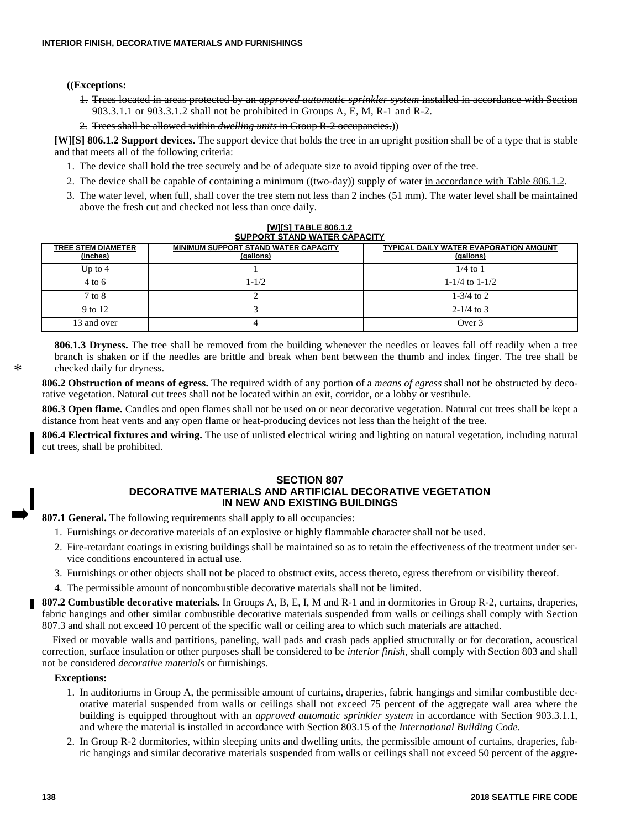#### **((Exceptions:**

- 1. Trees located in areas protected by an *approved automatic sprinkler system* installed in accordance with Section 903.3.1.1 or 903.3.1.2 shall not be prohibited in Groups A, E, M, R-1 and R-2.
- 2. Trees shall be allowed within *dwelling units* in Group R-2 occupancies.))

**[W][S] 806.1.2 Support devices.** The support device that holds the tree in an upright position shall be of a type that is stable and that meets all of the following criteria:

- 1. The device shall hold the tree securely and be of adequate size to avoid tipping over of the tree.
- 2. The device shall be capable of containing a minimum ( $(\mathbf{two-dav})$ ) supply of water in accordance with Table 806.1.2.
- 3. The water level, when full, shall cover the tree stem not less than 2 inches (51 mm). The water level shall be maintained above the fresh cut and checked not less than once daily.

| <b>SUPPORT STAND WATER CAPACITY</b>   |                                                          |                                                     |  |  |  |  |
|---------------------------------------|----------------------------------------------------------|-----------------------------------------------------|--|--|--|--|
| <b>TREE STEM DIAMETER</b><br>(inches) | <b>MINIMUM SUPPORT STAND WATER CAPACITY</b><br>(gallons) | TYPICAL DAILY WATER EVAPORATION AMOUNT<br>(gallons) |  |  |  |  |
| Up to $4$                             |                                                          | $1/4$ to 1                                          |  |  |  |  |
| $4$ to 6                              | $1 - 1/2$                                                | $1 - 1/4$ to $1 - 1/2$                              |  |  |  |  |
| $7$ to $8$                            |                                                          | $1-3/4$ to 2                                        |  |  |  |  |
| 9 to 12                               |                                                          | $2-1/4$ to 3                                        |  |  |  |  |
| 13 and over                           |                                                          | Over 3                                              |  |  |  |  |

# **[W][S] TABLE 806.1.2**

**806.1.3 Dryness.** The tree shall be removed from the building whenever the needles or leaves fall off readily when a tree branch is shaken or if the needles are brittle and break when bent between the thumb and index finger. The tree shall be checked daily for dryness.

**806.2 Obstruction of means of egress.** The required width of any portion of a *means of egress* shall not be obstructed by decorative vegetation. Natural cut trees shall not be located within an exit, corridor, or a lobby or vestibule.

**806.3 Open flame.** Candles and open flames shall not be used on or near decorative vegetation. Natural cut trees shall be kept a distance from heat vents and any open flame or heat-producing devices not less than the height of the tree.

**806.4 Electrical fixtures and wiring.** The use of unlisted electrical wiring and lighting on natural vegetation, including natural cut trees, shall be prohibited.

#### **SECTION 807**

## **DECORATIVE MATERIALS AND ARTIFICIAL DECORATIVE VEGETATION IN NEW AND EXISTING BUILDINGS**

**807.1 General.** The following requirements shall apply to all occupancies:

- 1. Furnishings or decorative materials of an explosive or highly flammable character shall not be used.
- 2. Fire-retardant coatings in existing buildings shall be maintained so as to retain the effectiveness of the treatment under service conditions encountered in actual use.
- 3. Furnishings or other objects shall not be placed to obstruct exits, access thereto, egress therefrom or visibility thereof.
- 4. The permissible amount of noncombustible decorative materials shall not be limited.

**807.2 Combustible decorative materials.** In Groups A, B, E, I, M and R-1 and in dormitories in Group R-2, curtains, draperies, fabric hangings and other similar combustible decorative materials suspended from walls or ceilings shall comply with Section 807.3 and shall not exceed 10 percent of the specific wall or ceiling area to which such materials are attached.

Fixed or movable walls and partitions, paneling, wall pads and crash pads applied structurally or for decoration, acoustical correction, surface insulation or other purposes shall be considered to be *interior finish*, shall comply with Section 803 and shall not be considered *decorative materials* or furnishings.

#### **Exceptions:**

- 1. In auditoriums in Group A, the permissible amount of curtains, draperies, fabric hangings and similar combustible decorative material suspended from walls or ceilings shall not exceed 75 percent of the aggregate wall area where the building is equipped throughout with an *approved automatic sprinkler system* in accordance with Section 903.3.1.1, and where the material is installed in accordance with Section 803.15 of the *International Building Code.*
- 2. In Group R-2 dormitories, within sleeping units and dwelling units, the permissible amount of curtains, draperies, fabric hangings and similar decorative materials suspended from walls or ceilings shall not exceed 50 percent of the aggre-

\*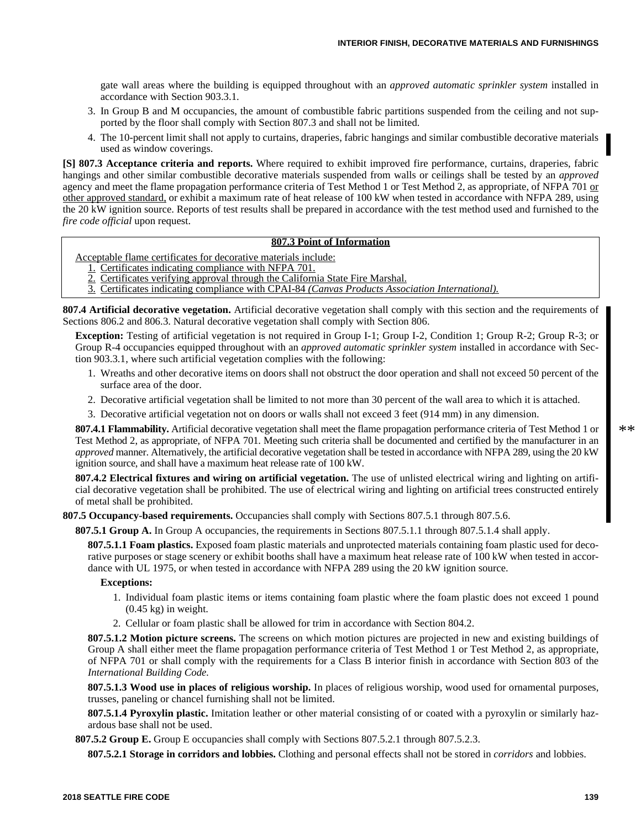gate wall areas where the building is equipped throughout with an *approved automatic sprinkler system* installed in accordance with Section 903.3.1.

- 3. In Group B and M occupancies, the amount of combustible fabric partitions suspended from the ceiling and not supported by the floor shall comply with Section 807.3 and shall not be limited.
- 4. The 10-percent limit shall not apply to curtains, draperies, fabric hangings and similar combustible decorative materials used as window coverings.

**[S] 807.3 Acceptance criteria and reports.** Where required to exhibit improved fire performance, curtains, draperies, fabric hangings and other similar combustible decorative materials suspended from walls or ceilings shall be tested by an *approved* agency and meet the flame propagation performance criteria of Test Method 1 or Test Method 2, as appropriate, of NFPA 701 or other approved standard, or exhibit a maximum rate of heat release of 100 kW when tested in accordance with NFPA 289, using the 20 kW ignition source. Reports of test results shall be prepared in accordance with the test method used and furnished to the *fire code official* upon request.

#### **807.3 Point of Information**

Acceptable flame certificates for decorative materials include:

- 1. Certificates indicating compliance with NFPA 701.
- 2. Certificates verifying approval through the California State Fire Marshal.
- 3. Certificates indicating compliance with CPAI-84 *(Canvas Products Association International).*

**807.4 Artificial decorative vegetation.** Artificial decorative vegetation shall comply with this section and the requirements of Sections 806.2 and 806.3. Natural decorative vegetation shall comply with Section 806.

**Exception:** Testing of artificial vegetation is not required in Group I-1; Group I-2, Condition 1; Group R-2; Group R-3; or Group R-4 occupancies equipped throughout with an *approved automatic sprinkler system* installed in accordance with Section 903.3.1, where such artificial vegetation complies with the following:

- 1. Wreaths and other decorative items on doors shall not obstruct the door operation and shall not exceed 50 percent of the surface area of the door.
- 2. Decorative artificial vegetation shall be limited to not more than 30 percent of the wall area to which it is attached.
- 3. Decorative artificial vegetation not on doors or walls shall not exceed 3 feet (914 mm) in any dimension.

**807.4.1 Flammability.** Artificial decorative vegetation shall meet the flame propagation performance criteria of Test Method 1 or Test Method 2, as appropriate, of NFPA 701. Meeting such criteria shall be documented and certified by the manufacturer in an *approved* manner. Alternatively, the artificial decorative vegetation shall be tested in accordance with NFPA 289, using the 20 kW ignition source, and shall have a maximum heat release rate of 100 kW.

**807.4.2 Electrical fixtures and wiring on artificial vegetation.** The use of unlisted electrical wiring and lighting on artificial decorative vegetation shall be prohibited. The use of electrical wiring and lighting on artificial trees constructed entirely of metal shall be prohibited.

**807.5 Occupancy-based requirements.** Occupancies shall comply with Sections 807.5.1 through 807.5.6.

**807.5.1 Group A.** In Group A occupancies, the requirements in Sections 807.5.1.1 through 807.5.1.4 shall apply.

**807.5.1.1 Foam plastics.** Exposed foam plastic materials and unprotected materials containing foam plastic used for decorative purposes or stage scenery or exhibit booths shall have a maximum heat release rate of 100 kW when tested in accordance with UL 1975, or when tested in accordance with NFPA 289 using the 20 kW ignition source.

#### **Exceptions:**

- 1. Individual foam plastic items or items containing foam plastic where the foam plastic does not exceed 1 pound  $(0.45 \text{ kg})$  in weight.
- 2. Cellular or foam plastic shall be allowed for trim in accordance with Section 804.2.

**807.5.1.2 Motion picture screens.** The screens on which motion pictures are projected in new and existing buildings of Group A shall either meet the flame propagation performance criteria of Test Method 1 or Test Method 2, as appropriate, of NFPA 701 or shall comply with the requirements for a Class B interior finish in accordance with Section 803 of the *International Building Code.*

**807.5.1.3 Wood use in places of religious worship.** In places of religious worship, wood used for ornamental purposes, trusses, paneling or chancel furnishing shall not be limited.

**807.5.1.4 Pyroxylin plastic.** Imitation leather or other material consisting of or coated with a pyroxylin or similarly hazardous base shall not be used.

**807.5.2 Group E.** Group E occupancies shall comply with Sections 807.5.2.1 through 807.5.2.3.

**807.5.2.1 Storage in corridors and lobbies.** Clothing and personal effects shall not be stored in *corridors* and lobbies.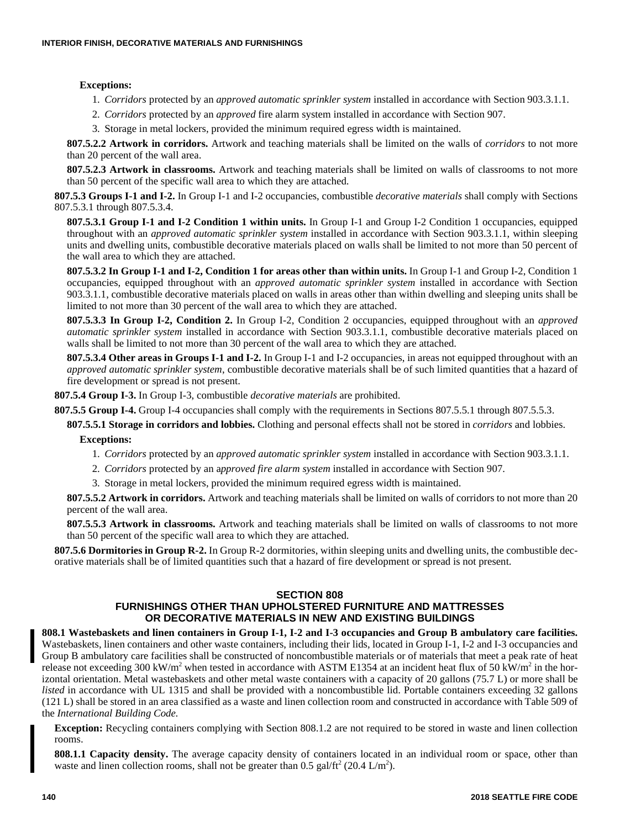#### **Exceptions:**

- 1. *Corridors* protected by an *approved automatic sprinkler system* installed in accordance with Section 903.3.1.1.
- 2. *Corridors* protected by an *approved* fire alarm system installed in accordance with Section 907.
- 3. Storage in metal lockers, provided the minimum required egress width is maintained.

**807.5.2.2 Artwork in corridors.** Artwork and teaching materials shall be limited on the walls of *corridors* to not more than 20 percent of the wall area.

**807.5.2.3 Artwork in classrooms.** Artwork and teaching materials shall be limited on walls of classrooms to not more than 50 percent of the specific wall area to which they are attached.

**807.5.3 Groups I-1 and I-2.** In Group I-1 and I-2 occupancies, combustible *decorative materials* shall comply with Sections 807.5.3.1 through 807.5.3.4.

**807.5.3.1 Group I-1 and I-2 Condition 1 within units.** In Group I-1 and Group I-2 Condition 1 occupancies, equipped throughout with an *approved automatic sprinkler system* installed in accordance with Section 903.3.1.1, within sleeping units and dwelling units, combustible decorative materials placed on walls shall be limited to not more than 50 percent of the wall area to which they are attached.

**807.5.3.2 In Group I-1 and I-2, Condition 1 for areas other than within units.** In Group I-1 and Group I-2, Condition 1 occupancies, equipped throughout with an *approved automatic sprinkler system* installed in accordance with Section 903.3.1.1, combustible decorative materials placed on walls in areas other than within dwelling and sleeping units shall be limited to not more than 30 percent of the wall area to which they are attached.

**807.5.3.3 In Group I-2, Condition 2.** In Group I-2, Condition 2 occupancies, equipped throughout with an *approved automatic sprinkler system* installed in accordance with Section 903.3.1.1, combustible decorative materials placed on walls shall be limited to not more than 30 percent of the wall area to which they are attached.

**807.5.3.4 Other areas in Groups I-1 and I-2.** In Group I-1 and I-2 occupancies, in areas not equipped throughout with an *approved automatic sprinkler system*, combustible decorative materials shall be of such limited quantities that a hazard of fire development or spread is not present.

**807.5.4 Group I-3.** In Group I-3, combustible *decorative materials* are prohibited.

**807.5.5 Group I-4.** Group I-4 occupancies shall comply with the requirements in Sections 807.5.5.1 through 807.5.5.3.

**807.5.5.1 Storage in corridors and lobbies.** Clothing and personal effects shall not be stored in *corridors* and lobbies.

**Exceptions:**

- 1. *Corridors* protected by an *approved automatic sprinkler system* installed in accordance with Section 903.3.1.1.
- 2. *Corridors* protected by an a*pproved fire alarm system* installed in accordance with Section 907.
- 3. Storage in metal lockers, provided the minimum required egress width is maintained.

**807.5.5.2 Artwork in corridors.** Artwork and teaching materials shall be limited on walls of corridors to not more than 20 percent of the wall area.

**807.5.5.3 Artwork in classrooms.** Artwork and teaching materials shall be limited on walls of classrooms to not more than 50 percent of the specific wall area to which they are attached.

**807.5.6 Dormitories in Group R-2.** In Group R-2 dormitories, within sleeping units and dwelling units, the combustible decorative materials shall be of limited quantities such that a hazard of fire development or spread is not present.

#### **SECTION 808**

# **FURNISHINGS OTHER THAN UPHOLSTERED FURNITURE AND MATTRESSES OR DECORATIVE MATERIALS IN NEW AND EXISTING BUILDINGS**

**808.1 Wastebaskets and linen containers in Group I-1, I-2 and I-3 occupancies and Group B ambulatory care facilities.** Wastebaskets, linen containers and other waste containers, including their lids, located in Group I-1, I-2 and I-3 occupancies and Group B ambulatory care facilities shall be constructed of noncombustible materials or of materials that meet a peak rate of heat release not exceeding 300 kW/m<sup>2</sup> when tested in accordance with ASTM E1354 at an incident heat flux of 50 kW/m<sup>2</sup> in the horizontal orientation. Metal wastebaskets and other metal waste containers with a capacity of 20 gallons (75.7 L) or more shall be *listed* in accordance with UL 1315 and shall be provided with a noncombustible lid. Portable containers exceeding 32 gallons (121 L) shall be stored in an area classified as a waste and linen collection room and constructed in accordance with Table 509 of the *International Building Code.*

**Exception:** Recycling containers complying with Section 808.1.2 are not required to be stored in waste and linen collection rooms.

**808.1.1 Capacity density.** The average capacity density of containers located in an individual room or space, other than waste and linen collection rooms, shall not be greater than  $0.5$  gal/ft<sup>2</sup> (20.4 L/m<sup>2</sup>).